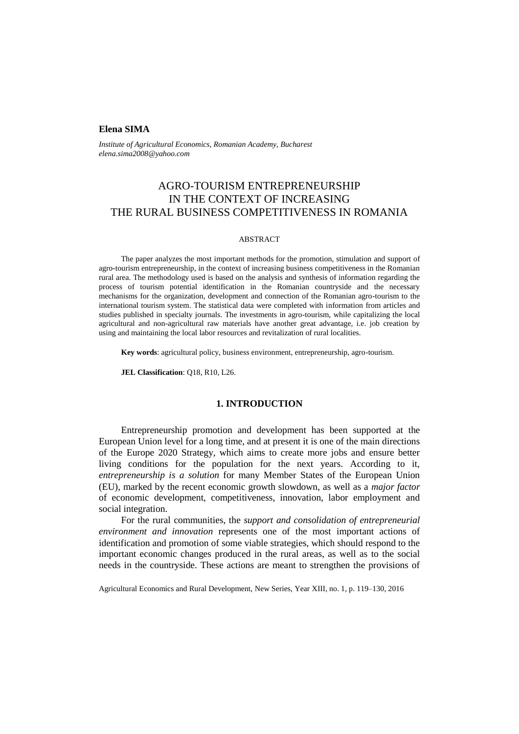### **Elena SIMA**

*Institute of Agricultural Economics, Romanian Academy, Bucharest elena.sima2008@yahoo.com*

# AGRO-TOURISM ENTREPRENEURSHIP IN THE CONTEXT OF INCREASING THE RURAL BUSINESS COMPETITIVENESS IN ROMANIA

#### ABSTRACT

The paper analyzes the most important methods for the promotion, stimulation and support of agro-tourism entrepreneurship, in the context of increasing business competitiveness in the Romanian rural area. The methodology used is based on the analysis and synthesis of information regarding the process of tourism potential identification in the Romanian countryside and the necessary mechanisms for the organization, development and connection of the Romanian agro-tourism to the international tourism system. The statistical data were completed with information from articles and studies published in specialty journals. The investments in agro-tourism, while capitalizing the local agricultural and non-agricultural raw materials have another great advantage, i.e. job creation by using and maintaining the local labor resources and revitalization of rural localities.

**Key words**: agricultural policy, business environment, entrepreneurship, agro-tourism.

**JEL Classification**: Q18, R10, L26.

#### **1. INTRODUCTION**

Entrepreneurship promotion and development has been supported at the European Union level for a long time, and at present it is one of the main directions of the Europe 2020 Strategy, which aims to create more jobs and ensure better living conditions for the population for the next years. According to it, *entrepreneurship is a solution* for many Member States of the European Union (EU), marked by the recent economic growth slowdown, as well as a *major factor*  of economic development, competitiveness, innovation, labor employment and social integration.

For the rural communities, the *support and consolidation of entrepreneurial environment and innovation* represents one of the most important actions of identification and promotion of some viable strategies, which should respond to the important economic changes produced in the rural areas, as well as to the social needs in the countryside. These actions are meant to strengthen the provisions of

Agricultural Economics and Rural Development, New Series, Year XIII, no. 1, p. 119–130, 2016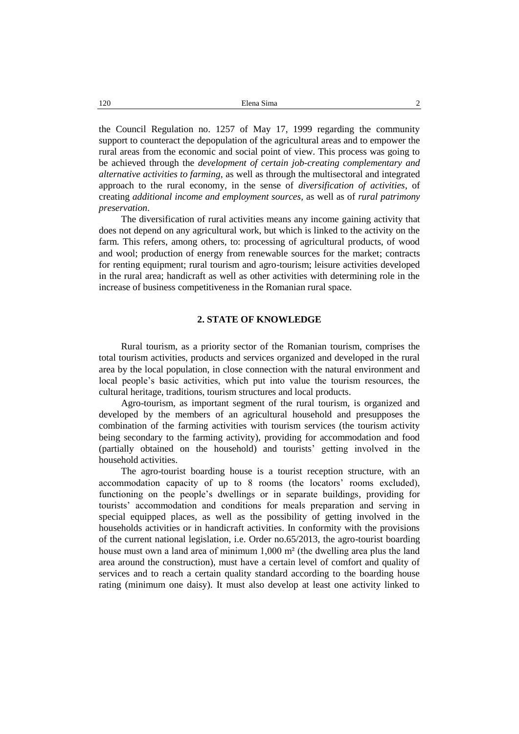| 120 | $\sim$<br>Elena Sima |
|-----|----------------------|
|     |                      |

the Council Regulation no. 1257 of May 17, 1999 regarding the community support to counteract the depopulation of the agricultural areas and to empower the rural areas from the economic and social point of view. This process was going to be achieved through the *development of certain job-creating complementary and alternative activities to farming,* as well as through the multisectoral and integrated approach to the rural economy, in the sense of *diversification of activities*, of creating *additional income and employment sources,* as well as of *rural patrimony preservation*.

The diversification of rural activities means any income gaining activity that does not depend on any agricultural work, but which is linked to the activity on the farm. This refers, among others, to: processing of agricultural products, of wood and wool; production of energy from renewable sources for the market; contracts for renting equipment; rural tourism and agro-tourism; leisure activities developed in the rural area; handicraft as well as other activities with determining role in the increase of business competitiveness in the Romanian rural space.

### **2. STATE OF KNOWLEDGE**

Rural tourism, as a priority sector of the Romanian tourism, comprises the total tourism activities, products and services organized and developed in the rural area by the local population, in close connection with the natural environment and local people's basic activities, which put into value the tourism resources, the cultural heritage, traditions, tourism structures and local products.

Agro-tourism, as important segment of the rural tourism, is organized and developed by the members of an agricultural household and presupposes the combination of the farming activities with tourism services (the tourism activity being secondary to the farming activity), providing for accommodation and food (partially obtained on the household) and tourists' getting involved in the household activities.

The agro-tourist boarding house is a tourist reception structure, with an accommodation capacity of up to 8 rooms (the locators' rooms excluded), functioning on the people's dwellings or in separate buildings, providing for tourists' accommodation and conditions for meals preparation and serving in special equipped places, as well as the possibility of getting involved in the households activities or in handicraft activities. In conformity with the provisions of the current national legislation, i.e. Order no.65/2013, the agro-tourist boarding house must own a land area of minimum 1,000 m<sup>2</sup> (the dwelling area plus the land area around the construction), must have a certain level of comfort and quality of services and to reach a certain quality standard according to the boarding house rating (minimum one daisy). It must also develop at least one activity linked to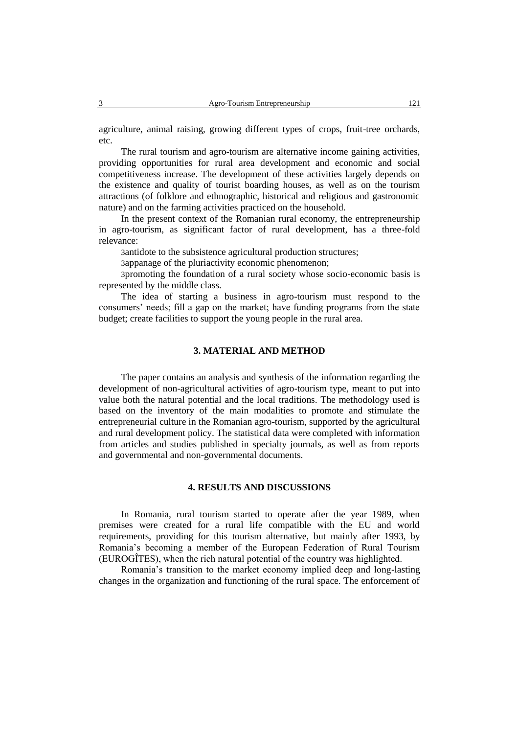agriculture, animal raising, growing different types of crops, fruit-tree orchards, etc.

The rural tourism and agro-tourism are alternative income gaining activities, providing opportunities for rural area development and economic and social competitiveness increase. The development of these activities largely depends on the existence and quality of tourist boarding houses, as well as on the tourism attractions (of folklore and ethnographic, historical and religious and gastronomic nature) and on the farming activities practiced on the household.

In the present context of the Romanian rural economy, the entrepreneurship in agro-tourism, as significant factor of rural development, has a three-fold relevance:

3antidote to the subsistence agricultural production structures;

3appanage of the pluriactivity economic phenomenon;

3promoting the foundation of a rural society whose socio-economic basis is represented by the middle class.

The idea of starting a business in agro-tourism must respond to the consumers' needs; fill a gap on the market; have funding programs from the state budget; create facilities to support the young people in the rural area.

# **3. MATERIAL AND METHOD**

The paper contains an analysis and synthesis of the information regarding the development of non-agricultural activities of agro-tourism type, meant to put into value both the natural potential and the local traditions. The methodology used is based on the inventory of the main modalities to promote and stimulate the entrepreneurial culture in the Romanian agro-tourism, supported by the agricultural and rural development policy. The statistical data were completed with information from articles and studies published in specialty journals, as well as from reports and governmental and non-governmental documents.

## **4. RESULTS AND DISCUSSIONS**

In Romania, rural tourism started to operate after the year 1989, when premises were created for a rural life compatible with the EU and world requirements, providing for this tourism alternative, but mainly after 1993, by Romania's becoming a member of the European Federation of Rural Tourism (EUROGÎTES), when the rich natural potential of the country was highlighted.

Romania's transition to the market economy implied deep and long-lasting changes in the organization and functioning of the rural space. The enforcement of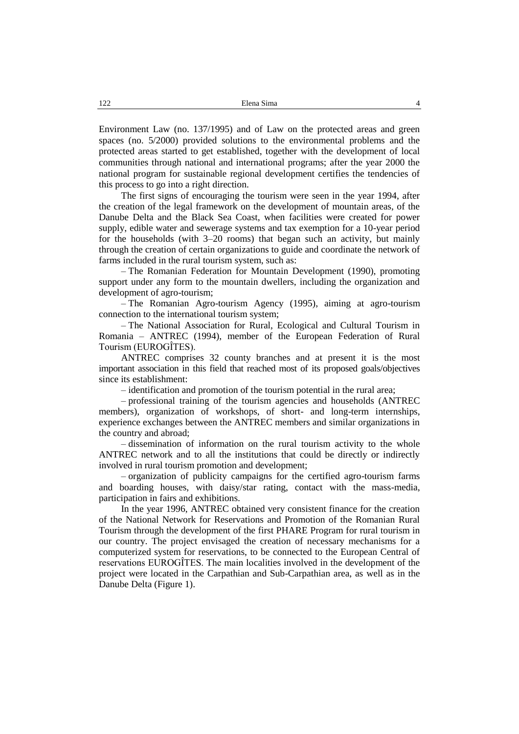Environment Law (no. 137/1995) and of Law on the protected areas and green spaces (no. 5/2000) provided solutions to the environmental problems and the protected areas started to get established, together with the development of local communities through national and international programs; after the year 2000 the national program for sustainable regional development certifies the tendencies of this process to go into a right direction.

The first signs of encouraging the tourism were seen in the year 1994, after the creation of the legal framework on the development of mountain areas, of the Danube Delta and the Black Sea Coast, when facilities were created for power supply, edible water and sewerage systems and tax exemption for a 10-year period for the households (with 3–20 rooms) that began such an activity, but mainly through the creation of certain organizations to guide and coordinate the network of farms included in the rural tourism system, such as:

– The Romanian Federation for Mountain Development (1990), promoting support under any form to the mountain dwellers, including the organization and development of agro-tourism;

– The Romanian Agro-tourism Agency (1995), aiming at agro-tourism connection to the international tourism system;

– The National Association for Rural, Ecological and Cultural Tourism in Romania – ANTREC (1994), member of the European Federation of Rural Tourism (EUROGÎTES).

ANTREC comprises 32 county branches and at present it is the most important association in this field that reached most of its proposed goals/objectives since its establishment:

– identification and promotion of the tourism potential in the rural area;

– professional training of the tourism agencies and households (ANTREC members), organization of workshops, of short- and long-term internships, experience exchanges between the ANTREC members and similar organizations in the country and abroad;

– dissemination of information on the rural tourism activity to the whole ANTREC network and to all the institutions that could be directly or indirectly involved in rural tourism promotion and development;

– organization of publicity campaigns for the certified agro-tourism farms and boarding houses, with daisy/star rating, contact with the mass-media, participation in fairs and exhibitions.

In the year 1996, ANTREC obtained very consistent finance for the creation of the National Network for Reservations and Promotion of the Romanian Rural Tourism through the development of the first PHARE Program for rural tourism in our country. The project envisaged the creation of necessary mechanisms for a computerized system for reservations, to be connected to the European Central of reservations EUROGÎTES. The main localities involved in the development of the project were located in the Carpathian and Sub-Carpathian area, as well as in the Danube Delta (Figure 1).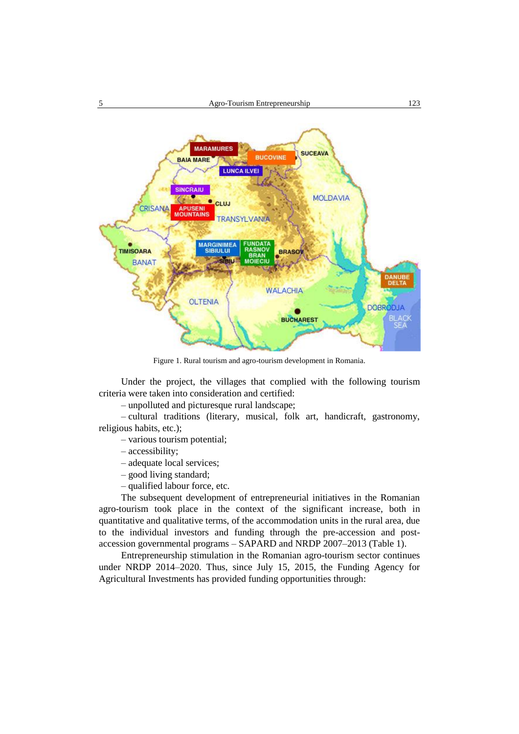

Figure 1. Rural tourism and agro-tourism development in Romania.

Under the project, the villages that complied with the following tourism criteria were taken into consideration and certified:

– unpolluted and picturesque rural landscape;

– cultural traditions (literary, musical, folk art, handicraft, gastronomy, religious habits, etc.);

- various tourism potential;
- accessibility;
- adequate local services;
- good living standard;
- qualified labour force, etc.

The subsequent development of entrepreneurial initiatives in the Romanian agro-tourism took place in the context of the significant increase, both in quantitative and qualitative terms, of the accommodation units in the rural area, due to the individual investors and funding through the pre-accession and postaccession governmental programs – SAPARD and NRDP 2007–2013 (Table 1).

Entrepreneurship stimulation in the Romanian agro-tourism sector continues under NRDP 2014–2020. Thus, since July 15, 2015, the Funding Agency for Agricultural Investments has provided funding opportunities through: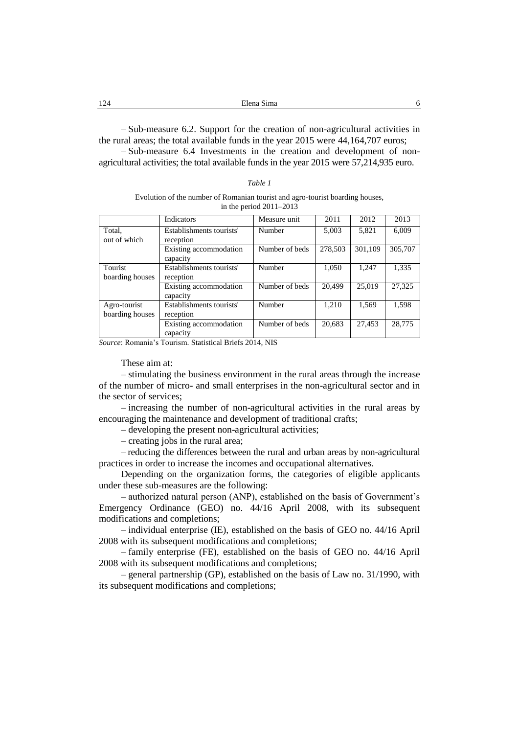| - 24<br>---<br>$ -$ | $  -$ |  |
|---------------------|-------|--|
|                     |       |  |

– Sub-measure 6.2. Support for the creation of non-agricultural activities in the rural areas; the total available funds in the year 2015 were 44,164,707 euros; – Sub-measure 6.4 Investments in the creation and development of nonagricultural activities; the total available funds in the year 2015 were 57,214,935 euro.

#### *Table 1*

#### Evolution of the number of Romanian tourist and agro-tourist boarding houses, in the period 2011–2013

|                 | Indicators               | Measure unit   | 2011    | 2012    | 2013    |
|-----------------|--------------------------|----------------|---------|---------|---------|
| Total,          | Establishments tourists' | Number         | 5,003   | 5,821   | 6,009   |
| out of which    | reception                |                |         |         |         |
|                 | Existing accommodation   | Number of beds | 278,503 | 301,109 | 305,707 |
|                 | capacity                 |                |         |         |         |
| Tourist         | Establishments tourists' | Number         | 1.050   | 1,247   | 1,335   |
| boarding houses | reception                |                |         |         |         |
|                 | Existing accommodation   | Number of beds | 20,499  | 25,019  | 27,325  |
|                 | capacity                 |                |         |         |         |
| Agro-tourist    | Establishments tourists' | Number         | 1,210   | 1,569   | 1,598   |
| boarding houses | reception                |                |         |         |         |
|                 | Existing accommodation   | Number of beds | 20,683  | 27,453  | 28,775  |
|                 | capacity                 |                |         |         |         |

*Source*: Romania's Tourism. Statistical Briefs 2014, NIS

These aim at:

– stimulating the business environment in the rural areas through the increase of the number of micro- and small enterprises in the non-agricultural sector and in the sector of services;

– increasing the number of non-agricultural activities in the rural areas by encouraging the maintenance and development of traditional crafts;

– developing the present non-agricultural activities;

– creating jobs in the rural area;

– reducing the differences between the rural and urban areas by non-agricultural practices in order to increase the incomes and occupational alternatives.

Depending on the organization forms, the categories of eligible applicants under these sub-measures are the following:

– authorized natural person (ANP), established on the basis of Government's Emergency Ordinance (GEO) no. 44/16 April 2008, with its subsequent modifications and completions;

– individual enterprise (IE), established on the basis of GEO no. 44/16 April 2008 with its subsequent modifications and completions;

– family enterprise (FE), established on the basis of GEO no. 44/16 April 2008 with its subsequent modifications and completions;

– general partnership (GP), established on the basis of Law no. 31/1990, with its subsequent modifications and completions;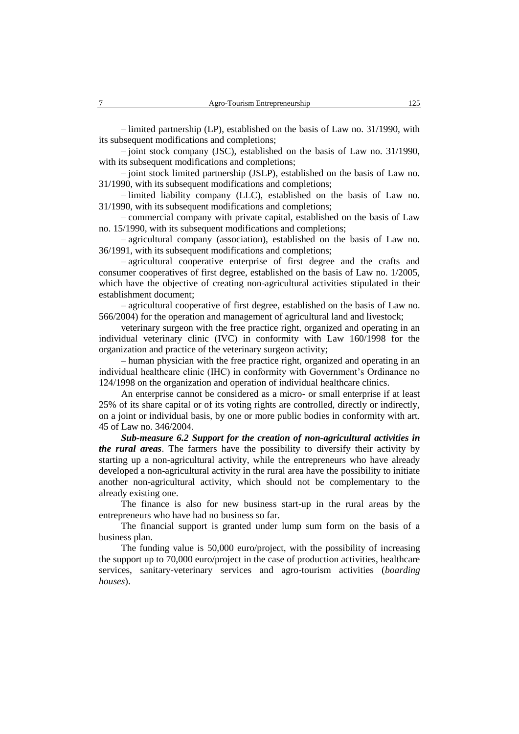– limited partnership (LP), established on the basis of Law no. 31/1990, with its subsequent modifications and completions;

– joint stock company (JSC), established on the basis of Law no. 31/1990, with its subsequent modifications and completions;

– joint stock limited partnership (JSLP), established on the basis of Law no. 31/1990, with its subsequent modifications and completions;

– limited liability company (LLC), established on the basis of Law no. 31/1990, with its subsequent modifications and completions;

– commercial company with private capital, established on the basis of Law no. 15/1990, with its subsequent modifications and completions;

– agricultural company (association), established on the basis of Law no. 36/1991, with its subsequent modifications and completions;

– agricultural cooperative enterprise of first degree and the crafts and consumer cooperatives of first degree, established on the basis of Law no. 1/2005, which have the objective of creating non-agricultural activities stipulated in their establishment document;

– agricultural cooperative of first degree, established on the basis of Law no. 566/2004) for the operation and management of agricultural land and livestock;

veterinary surgeon with the free practice right, organized and operating in an individual veterinary clinic (IVC) in conformity with Law 160/1998 for the organization and practice of the veterinary surgeon activity;

– human physician with the free practice right, organized and operating in an individual healthcare clinic (IHC) in conformity with Government's Ordinance no 124/1998 on the organization and operation of individual healthcare clinics.

An enterprise cannot be considered as a micro- or small enterprise if at least 25% of its share capital or of its voting rights are controlled, directly or indirectly, on a joint or individual basis, by one or more public bodies in conformity with art. 45 of Law no. 346/2004.

*Sub-measure 6.2 Support for the creation of non-agricultural activities in the rural areas*. The farmers have the possibility to diversify their activity by starting up a non-agricultural activity, while the entrepreneurs who have already developed a non-agricultural activity in the rural area have the possibility to initiate another non-agricultural activity, which should not be complementary to the already existing one.

The finance is also for new business start-up in the rural areas by the entrepreneurs who have had no business so far.

The financial support is granted under lump sum form on the basis of a business plan.

The funding value is 50,000 euro/project, with the possibility of increasing the support up to 70,000 euro/project in the case of production activities, healthcare services, sanitary-veterinary services and agro-tourism activities (*boarding houses*).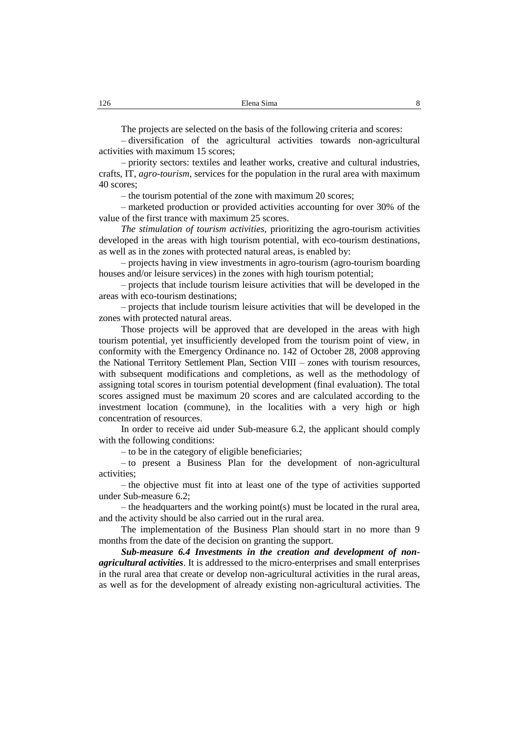The projects are selected on the basis of the following criteria and scores:

– diversification of the agricultural activities towards non-agricultural activities with maximum 15 scores;

– priority sectors: textiles and leather works, creative and cultural industries, crafts, IT, *agro-tourism*, services for the population in the rural area with maximum 40 scores;

– the tourism potential of the zone with maximum 20 scores;

– marketed production or provided activities accounting for over 30% of the value of the first trance with maximum 25 scores.

*The stimulation of tourism activities,* prioritizing the agro-tourism activities developed in the areas with high tourism potential, with eco-tourism destinations, as well as in the zones with protected natural areas, is enabled by:

– projects having in view investments in agro-tourism (agro-tourism boarding houses and/or leisure services) in the zones with high tourism potential;

– projects that include tourism leisure activities that will be developed in the areas with eco-tourism destinations;

– projects that include tourism leisure activities that will be developed in the zones with protected natural areas.

Those projects will be approved that are developed in the areas with high tourism potential, yet insufficiently developed from the tourism point of view, in conformity with the Emergency Ordinance no. 142 of October 28, 2008 approving the National Territory Settlement Plan, Section VIII – zones with tourism resources, with subsequent modifications and completions, as well as the methodology of assigning total scores in tourism potential development (final evaluation). The total scores assigned must be maximum 20 scores and are calculated according to the investment location (commune), in the localities with a very high or high concentration of resources.

In order to receive aid under Sub-measure 6.2, the applicant should comply with the following conditions:

– to be in the category of eligible beneficiaries;

– to present a Business Plan for the development of non-agricultural activities;

– the objective must fit into at least one of the type of activities supported under Sub-measure 6.2;

– the headquarters and the working point(s) must be located in the rural area, and the activity should be also carried out in the rural area.

The implementation of the Business Plan should start in no more than 9 months from the date of the decision on granting the support.

*Sub-measure 6.4 Investments in the creation and development of nonagricultural activities*. It is addressed to the micro-enterprises and small enterprises in the rural area that create or develop non-agricultural activities in the rural areas, as well as for the development of already existing non-agricultural activities. The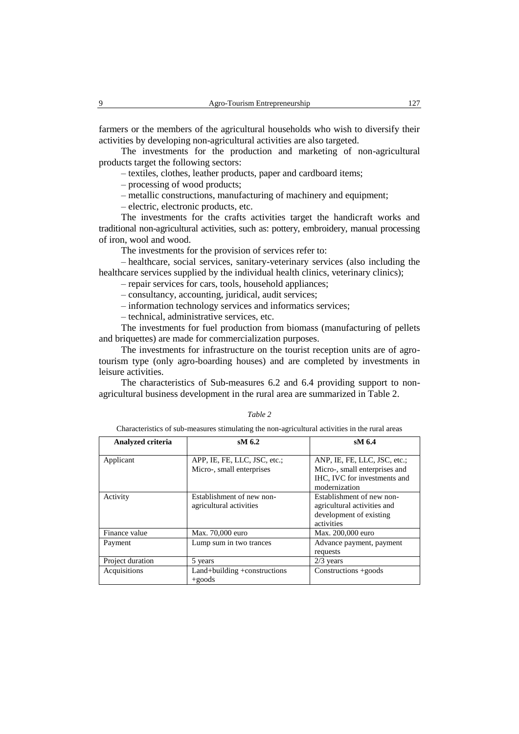farmers or the members of the agricultural households who wish to diversify their activities by developing non-agricultural activities are also targeted.

The investments for the production and marketing of non-agricultural products target the following sectors:

– textiles, clothes, leather products, paper and cardboard items;

– processing of wood products;

– metallic constructions, manufacturing of machinery and equipment;

– electric, electronic products, etc.

The investments for the crafts activities target the handicraft works and traditional non-agricultural activities, such as: pottery, embroidery, manual processing of iron, wool and wood.

The investments for the provision of services refer to:

– healthcare, social services, sanitary-veterinary services (also including the healthcare services supplied by the individual health clinics, veterinary clinics);

– repair services for cars, tools, household appliances;

– consultancy, accounting, juridical, audit services;

– information technology services and informatics services;

– technical, administrative services, etc.

The investments for fuel production from biomass (manufacturing of pellets and briquettes) are made for commercialization purposes.

The investments for infrastructure on the tourist reception units are of agrotourism type (only agro-boarding houses) and are completed by investments in leisure activities.

The characteristics of Sub-measures 6.2 and 6.4 providing support to nonagricultural business development in the rural area are summarized in Table 2.

| able |  |
|------|--|
|      |  |

Characteristics of sub-measures stimulating the non-agricultural activities in the rural areas

| Analyzed criteria | $sM$ 6.2                                                  | $sM$ 6.4                                                                                                       |
|-------------------|-----------------------------------------------------------|----------------------------------------------------------------------------------------------------------------|
| Applicant         | APP, IE, FE, LLC, JSC, etc.;<br>Micro-, small enterprises | ANP, IE, FE, LLC, JSC, etc.;<br>Micro-, small enterprises and<br>IHC, IVC for investments and<br>modernization |
| Activity          | Establishment of new non-<br>agricultural activities      | Establishment of new non-<br>agricultural activities and<br>development of existing<br>activities              |
| Finance value     | Max. 70,000 euro                                          | Max. 200,000 euro                                                                                              |
| Payment           | Lump sum in two trances                                   | Advance payment, payment<br>requests                                                                           |
| Project duration  | 5 years                                                   | $2/3$ years                                                                                                    |
| Acquisitions      | Land+building +constructions<br>$+$ goods                 | Constructions +goods                                                                                           |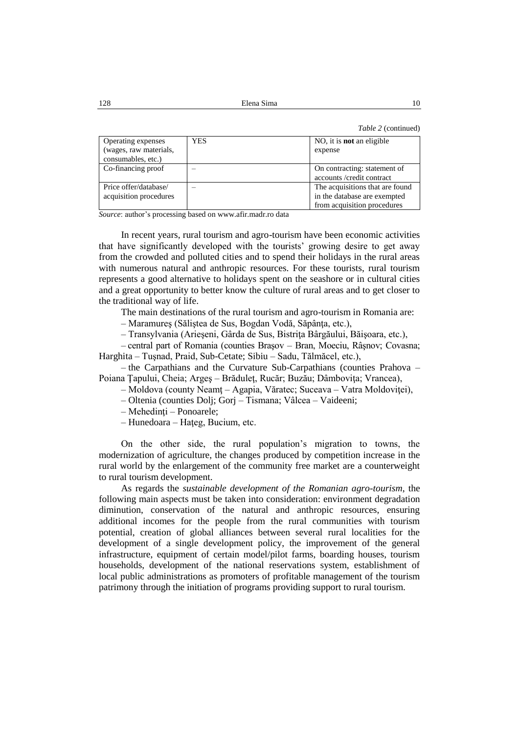*Table 2* (continued)

| Operating expenses<br>(wages, raw materials,<br>consumables, etc.) | YES. | NO, it is <b>not</b> an eligible<br>expense                                                    |
|--------------------------------------------------------------------|------|------------------------------------------------------------------------------------------------|
| Co-financing proof                                                 |      | On contracting: statement of<br>accounts/credit contract                                       |
| Price offer/database/<br>acquisition procedures                    |      | The acquisitions that are found<br>in the database are exempted<br>from acquisition procedures |

*Source*: author's processing based on www.afir.madr.ro data

In recent years, rural tourism and agro-tourism have been economic activities that have significantly developed with the tourists' growing desire to get away from the crowded and polluted cities and to spend their holidays in the rural areas with numerous natural and anthropic resources. For these tourists, rural tourism represents a good alternative to holidays spent on the seashore or in cultural cities and a great opportunity to better know the culture of rural areas and to get closer to the traditional way of life.

The main destinations of the rural tourism and agro-tourism in Romania are:

– Maramureş (Săliştea de Sus, Bogdan Vodă, Săpânţa, etc.),

– Transylvania (Arieşeni, Gârda de Sus, Bistriţa Bârgăului, Băişoara, etc.),

– central part of Romania (counties Braşov – Bran, Moeciu, Râşnov; Covasna; Harghita – Tuşnad, Praid, Sub-Cetate; Sibiu – Sadu, Tălmăcel, etc.),

– the Carpathians and the Curvature Sub-Carpathians (counties Prahova – Poiana Ţapului, Cheia; Argeş – Brăduleţ, Rucăr; Buzău; Dâmboviţa; Vrancea),

– Moldova (county Neamţ – Agapia, Văratec; Suceava – Vatra Moldoviţei),

- Oltenia (counties Dolj; Gorj Tismana; Vâlcea Vaideeni;
- Mehedinţi Ponoarele;
- Hunedoara Haţeg, Bucium, etc.

On the other side, the rural population's migration to towns, the modernization of agriculture, the changes produced by competition increase in the rural world by the enlargement of the community free market are a counterweight to rural tourism development.

As regards the *sustainable development of the Romanian agro-tourism*, the following main aspects must be taken into consideration: environment degradation diminution, conservation of the natural and anthropic resources, ensuring additional incomes for the people from the rural communities with tourism potential, creation of global alliances between several rural localities for the development of a single development policy, the improvement of the general infrastructure, equipment of certain model/pilot farms, boarding houses, tourism households, development of the national reservations system, establishment of local public administrations as promoters of profitable management of the tourism patrimony through the initiation of programs providing support to rural tourism.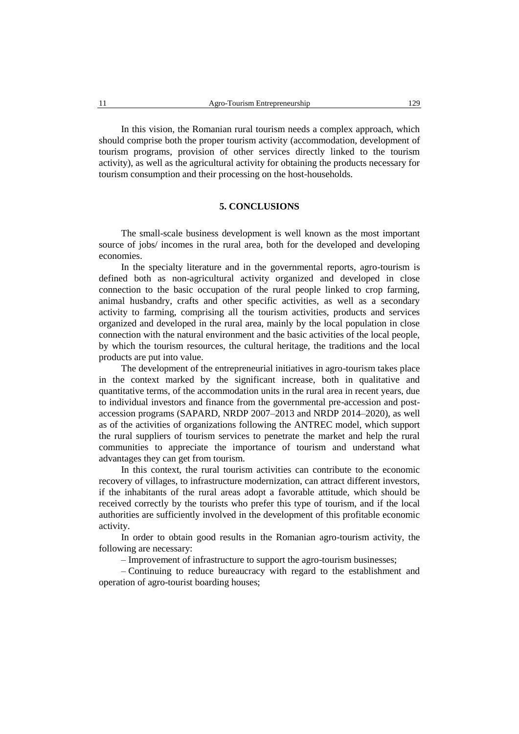In this vision, the Romanian rural tourism needs a complex approach, which should comprise both the proper tourism activity (accommodation, development of tourism programs, provision of other services directly linked to the tourism activity), as well as the agricultural activity for obtaining the products necessary for tourism consumption and their processing on the host-households.

### **5. CONCLUSIONS**

The small-scale business development is well known as the most important source of jobs/ incomes in the rural area, both for the developed and developing economies.

In the specialty literature and in the governmental reports, agro-tourism is defined both as non-agricultural activity organized and developed in close connection to the basic occupation of the rural people linked to crop farming, animal husbandry, crafts and other specific activities, as well as a secondary activity to farming, comprising all the tourism activities, products and services organized and developed in the rural area, mainly by the local population in close connection with the natural environment and the basic activities of the local people, by which the tourism resources, the cultural heritage, the traditions and the local products are put into value.

The development of the entrepreneurial initiatives in agro-tourism takes place in the context marked by the significant increase, both in qualitative and quantitative terms, of the accommodation units in the rural area in recent years, due to individual investors and finance from the governmental pre-accession and postaccession programs (SAPARD, NRDP 2007–2013 and NRDP 2014–2020), as well as of the activities of organizations following the ANTREC model, which support the rural suppliers of tourism services to penetrate the market and help the rural communities to appreciate the importance of tourism and understand what advantages they can get from tourism.

In this context, the rural tourism activities can contribute to the economic recovery of villages, to infrastructure modernization, can attract different investors, if the inhabitants of the rural areas adopt a favorable attitude, which should be received correctly by the tourists who prefer this type of tourism, and if the local authorities are sufficiently involved in the development of this profitable economic activity.

In order to obtain good results in the Romanian agro-tourism activity, the following are necessary:

– Improvement of infrastructure to support the agro-tourism businesses;

– Continuing to reduce bureaucracy with regard to the establishment and operation of agro-tourist boarding houses;